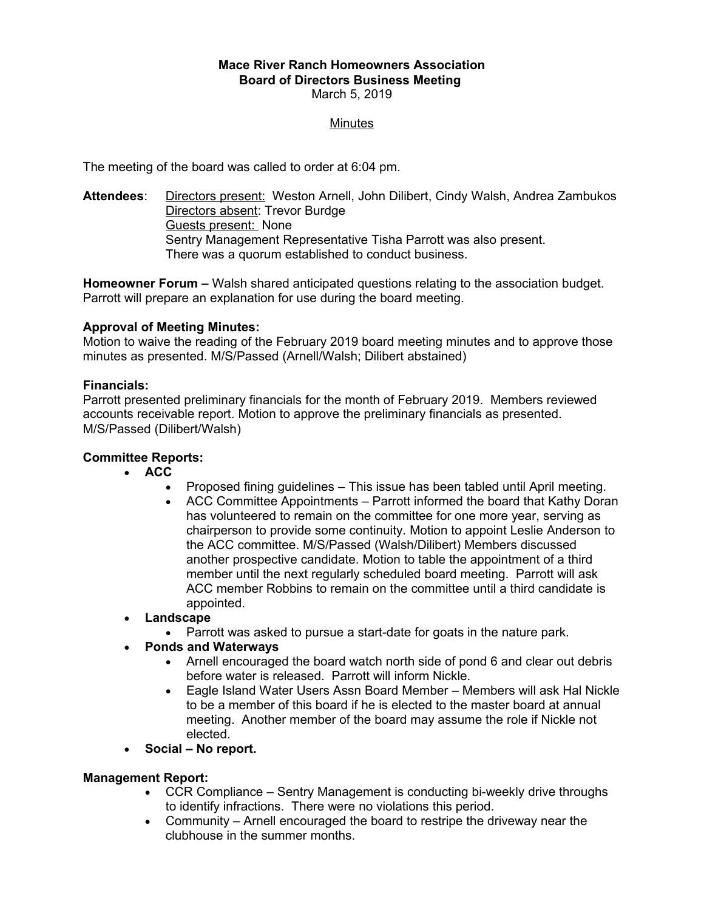#### **Mace River Ranch Homeowners Association Board of Directors Business Meeting**  March 5, 2019

## Minutes

The meeting of the board was called to order at 6:04 pm.

**Attendees**: Directors present: Weston Arnell, John Dilibert, Cindy Walsh, Andrea Zambukos Directors absent: Trevor Burdge Guests present: None Sentry Management Representative Tisha Parrott was also present. There was a quorum established to conduct business.

**Homeowner Forum –** Walsh shared anticipated questions relating to the association budget. Parrott will prepare an explanation for use during the board meeting.

## **Approval of Meeting Minutes:**

Motion to waive the reading of the February 2019 board meeting minutes and to approve those minutes as presented. M/S/Passed (Arnell/Walsh; Dilibert abstained)

## **Financials:**

Parrott presented preliminary financials for the month of February 2019. Members reviewed accounts receivable report. Motion to approve the preliminary financials as presented. M/S/Passed (Dilibert/Walsh)

# **Committee Reports:**

- **ACC**
	- Proposed fining guidelines This issue has been tabled until April meeting.
	- ACC Committee Appointments Parrott informed the board that Kathy Doran has volunteered to remain on the committee for one more year, serving as chairperson to provide some continuity. Motion to appoint Leslie Anderson to the ACC committee. M/S/Passed (Walsh/Dilibert) Members discussed another prospective candidate. Motion to table the appointment of a third member until the next regularly scheduled board meeting. Parrott will ask ACC member Robbins to remain on the committee until a third candidate is appointed.
- **Landscape**
	- Parrott was asked to pursue a start-date for goats in the nature park.
- **Ponds and Waterways**
	- Arnell encouraged the board watch north side of pond 6 and clear out debris before water is released. Parrott will inform Nickle.
	- Eagle Island Water Users Assn Board Member Members will ask Hal Nickle to be a member of this board if he is elected to the master board at annual meeting. Another member of the board may assume the role if Nickle not elected.
- **Social No report.**

#### **Management Report:**

- CCR Compliance Sentry Management is conducting bi-weekly drive throughs to identify infractions. There were no violations this period.
- Community Arnell encouraged the board to restripe the driveway near the clubhouse in the summer months.